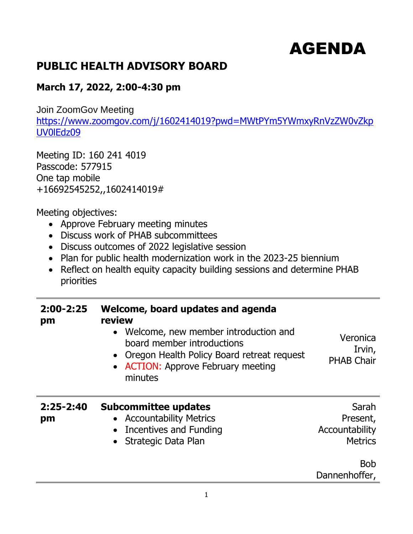## AGENDA

## **PUBLIC HEALTH ADVISORY BOARD**

## **March 17, 2022, 2:00-4:30 pm**

Join ZoomGov Meeting

[https://www.zoomgov.com/j/1602414019?pwd=MWtPYm5YWmxyRnVzZW0vZkp](https://www.zoomgov.com/j/1602414019?pwd=MWtPYm5YWmxyRnVzZW0vZkpUV0lEdz09) [UV0lEdz09](https://www.zoomgov.com/j/1602414019?pwd=MWtPYm5YWmxyRnVzZW0vZkpUV0lEdz09)

Meeting ID: 160 241 4019 Passcode: 577915 One tap mobile +16692545252,,1602414019#

Meeting objectives:

- Approve February meeting minutes
- Discuss work of PHAB subcommittees
- Discuss outcomes of 2022 legislative session
- Plan for public health modernization work in the 2023-25 biennium
- Reflect on health equity capacity building sessions and determine PHAB priorities

| $2:00 - 2:25$<br>pm | Welcome, board updates and agenda<br>review<br>• Welcome, new member introduction and<br>board member introductions<br>• Oregon Health Policy Board retreat request<br>• ACTION: Approve February meeting<br>minutes | Veronica<br>Irvin,<br><b>PHAB Chair</b>               |
|---------------------|----------------------------------------------------------------------------------------------------------------------------------------------------------------------------------------------------------------------|-------------------------------------------------------|
| $2:25 - 2:40$<br>pm | <b>Subcommittee updates</b><br>• Accountability Metrics<br>Incentives and Funding<br>Strategic Data Plan                                                                                                             | Sarah<br>Present,<br>Accountability<br><b>Metrics</b> |
|                     |                                                                                                                                                                                                                      | <b>Bob</b><br>Dannenhoffer,                           |